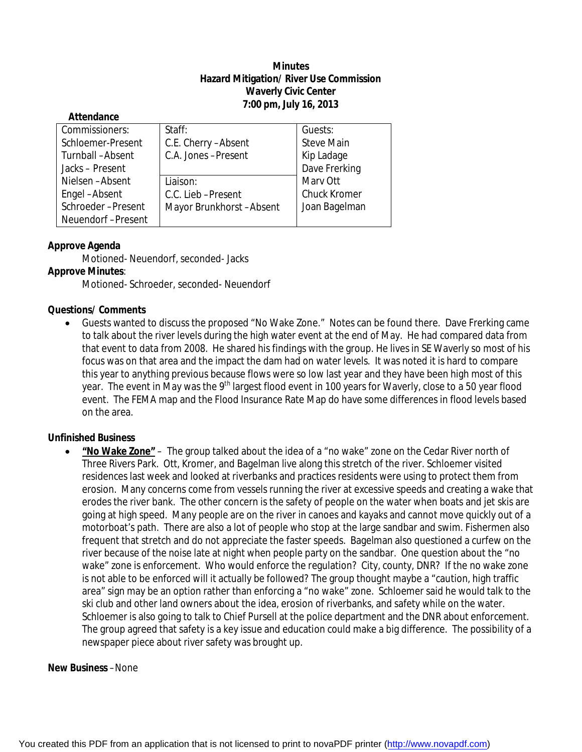# **Minutes Hazard Mitigation/ River Use Commission Waverly Civic Center 7:00 pm, July 16, 2013**

| Allenuance        |                         |                     |
|-------------------|-------------------------|---------------------|
| Commissioners:    | Staff:                  | Guests:             |
| Schloemer-Present | C.E. Cherry - Absent    | <b>Steve Main</b>   |
| Turnball-Absent   | C.A. Jones-Present      | Kip Ladage          |
| Jacks-Present     |                         | Dave Frerking       |
| Nielsen-Absent    | Liaison:                | Mary Ott            |
| Engel-Absent      | C.C. Lieb-Present       | <b>Chuck Kromer</b> |
| Schroeder-Present | Mayor Brunkhorst-Absent | Joan Bagelman       |
| Neuendorf-Present |                         |                     |
|                   |                         |                     |

# **Approve Agenda**

**Attendance**

Motioned- Neuendorf, seconded- Jacks

# **Approve Minutes**:

Motioned- Schroeder, seconded- Neuendorf

## **Questions/ Comments**

 Guests wanted to discuss the proposed "No Wake Zone." Notes can be found there. Dave Frerking came to talk about the river levels during the high water event at the end of May. He had compared data from that event to data from 2008. He shared his findings with the group. He lives in SE Waverly so most of his focus was on that area and the impact the dam had on water levels. It was noted it is hard to compare this year to anything previous because flows were so low last year and they have been high most of this year. The event in May was the 9<sup>th</sup> largest flood event in 100 years for Waverly, close to a 50 year flood event. The FEMA map and the Flood Insurance Rate Map do have some differences in flood levels based on the area.

# **Unfinished Business**

 **"No Wake Zone"** – The group talked about the idea of a "no wake" zone on the Cedar River north of Three Rivers Park. Ott, Kromer, and Bagelman live along this stretch of the river. Schloemer visited residences last week and looked at riverbanks and practices residents were using to protect them from erosion. Many concerns come from vessels running the river at excessive speeds and creating a wake that erodes the river bank. The other concern is the safety of people on the water when boats and jet skis are going at high speed. Many people are on the river in canoes and kayaks and cannot move quickly out of a motorboat's path. There are also a lot of people who stop at the large sandbar and swim. Fishermen also frequent that stretch and do not appreciate the faster speeds. Bagelman also questioned a curfew on the river because of the noise late at night when people party on the sandbar. One question about the "no wake" zone is enforcement. Who would enforce the regulation? City, county, DNR? If the no wake zone is not able to be enforced will it actually be followed? The group thought maybe a "caution, high traffic area" sign may be an option rather than enforcing a "no wake" zone. Schloemer said he would talk to the ski club and other land owners about the idea, erosion of riverbanks, and safety while on the water. Schloemer is also going to talk to Chief Pursell at the police department and the DNR about enforcement. The group agreed that safety is a key issue and education could make a big difference. The possibility of a newspaper piece about river safety was brought up.

#### **New Business** –None